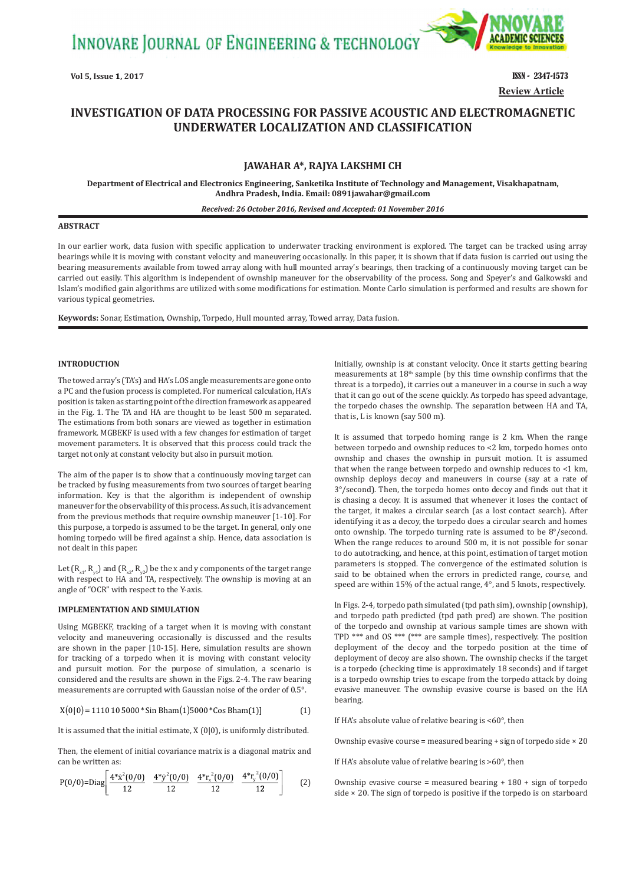INNOVARE JOURNAL OF ENGINEERING & TECHNOLOGY



**Review Article**

# **INVESTIGATION OF DATA PROCESSING FOR PASSIVE ACOUSTIC AND ELECTROMAGNETIC UNDERWATER LOCALIZATION AND CLASSIFICATION**

# **JAWAHAR A\*, RAJYA LAKSHMI CH**

**Department of Electrical and Electronics Engineering, Sanketika Institute of Technology and Management, Visakhapatnam, Andhra Pradesh, India. Email: 0891jawahar@gmail.com**

#### *Received: 26 October 2016, Revised and Accepted: 01 November 2016*

### **ABSTRACT**

In our earlier work, data fusion with specific application to underwater tracking environment is explored. The target can be tracked using array bearings while it is moving with constant velocity and maneuvering occasionally. In this paper, it is shown that if data fusion is carried out using the bearing measurements available from towed array along with hull mounted array's bearings, then tracking of a continuously moving target can be carried out easily. This algorithm is independent of ownship maneuver for the observability of the process. Song and Speyer's and Galkowski and Islam's modified gain algorithms are utilized with some modifications for estimation. Monte Carlo simulation is performed and results are shown for various typical geometries.

**Keywords:** Sonar, Estimation, Ownship, Torpedo, Hull mounted array, Towed array, Data fusion.

# **INTRODUCTION**

The towed array's (TA's) and HA's LOS angle measurements are gone onto a PC and the fusion process is completed. For numerical calculation, HA's position is taken as starting point of the direction framework as appeared in the Fig. 1. The TA and HA are thought to be least 500 m separated. The estimations from both sonars are viewed as together in estimation framework. MGBEKF is used with a few changes for estimation of target movement parameters. It is observed that this process could track the target not only at constant velocity but also in pursuit motion.

The aim of the paper is to show that a continuously moving target can be tracked by fusing measurements from two sources of target bearing information. Key is that the algorithm is independent of ownship maneuver for the observability of this process. As such, it is advancement from the previous methods that require ownship maneuver [1‑10]. For this purpose, a torpedo is assumed to be the target. In general, only one homing torpedo will be fired against a ship. Hence, data association is not dealt in this paper.

Let  $(R_{x1}, R_{y1})$  and  $(R_{x2}, R_{y2})$  be the x and y components of the target range with respect to HA and TA, respectively. The ownship is moving at an angle of "OCR" with respect to the Y-axis.

# **IMPLEMENTATION AND SIMULATION**

Using MGBEKF, tracking of a target when it is moving with constant velocity and maneuvering occasionally is discussed and the results are shown in the paper [10‑15]. Here, simulation results are shown for tracking of a torpedo when it is moving with constant velocity and pursuit motion. For the purpose of simulation, a scenario is considered and the results are shown in the Figs. 2‑4. The raw bearing measurements are corrupted with Gaussian noise of the order of 0.5°.

$$
X(0|0) = 1110105000 * Sin Bham(1)5000 * Cos Bham(1)]
$$
 (1)

It is assumed that the initial estimate, X (0|0), is uniformly distributed.

Then, the element of initial covariance matrix is a diagonal matrix and can be written as:

$$
P(0/0)=Diag\left[\frac{4*x^2(0/0)}{12} \quad \frac{4*y^2(0/0)}{12} \quad \frac{4*r^2(0/0)}{12} \quad \frac{4*r^2(0/0)}{12}\right] \tag{2}
$$

Initially, ownship is at constant velocity. Once it starts getting bearing measurements at 18th sample (by this time ownship confirms that the threat is a torpedo), it carries out a maneuver in a course in such a way that it can go out of the scene quickly. As torpedo has speed advantage, the torpedo chases the ownship. The separation between HA and TA, that is, L is known (say 500 m).

It is assumed that torpedo homing range is 2 km. When the range between torpedo and ownship reduces to <2 km, torpedo homes onto ownship and chases the ownship in pursuit motion. It is assumed that when the range between torpedo and ownship reduces to <1 km, ownship deploys decoy and maneuvers in course (say at a rate of 3°/second). Then, the torpedo homes onto decoy and finds out that it is chasing a decoy. It is assumed that whenever it loses the contact of the target, it makes a circular search (as a lost contact search). After identifying it as a decoy, the torpedo does a circular search and homes onto ownship. The torpedo turning rate is assumed to be 8°/second. When the range reduces to around 500 m, it is not possible for sonar to do autotracking, and hence, at this point, estimation of target motion parameters is stopped. The convergence of the estimated solution is said to be obtained when the errors in predicted range, course, and speed are within 15% of the actual range, 4°, and 5 knots, respectively.

In Figs. 2‑4, torpedo path simulated (tpd path sim), ownship (ownship), and torpedo path predicted (tpd path pred) are shown. The position of the torpedo and ownship at various sample times are shown with TPD \*\*\* and OS \*\*\* (\*\*\* are sample times), respectively. The position deployment of the decoy and the torpedo position at the time of deployment of decoy are also shown. The ownship checks if the target is a torpedo (checking time is approximately 18 seconds) and if target is a torpedo ownship tries to escape from the torpedo attack by doing evasive maneuver. The ownship evasive course is based on the HA bearing.

If HA's absolute value of relative bearing is  $<60^\circ$ , then

Ownship evasive course = measured bearing  $+$  sign of torpedo side  $\times$  20

If HA's absolute value of relative bearing is >60°, then

Ownship evasive course = measured bearing + 180 + sign of torpedo side × 20. The sign of torpedo is positive if the torpedo is on starboard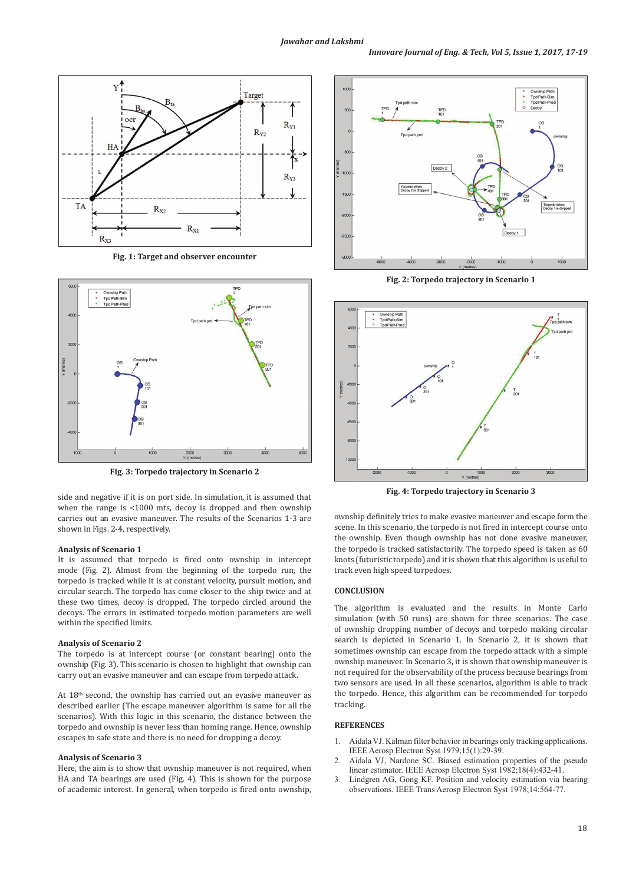

**Fig. 1: Target and observer encounter**



**Fig. 3: Torpedo trajectory in Scenario 2**

side and negative if it is on port side. In simulation, it is assumed that when the range is <1000 mts, decoy is dropped and then ownship carries out an evasive maneuver. The results of the Scenarios 1‑3 are shown in Figs. 2‑4, respectively.

#### **Analysis of Scenario 1**

It is assumed that torpedo is fired onto ownship in intercept mode (Fig. 2). Almost from the beginning of the torpedo run, the torpedo is tracked while it is at constant velocity, pursuit motion, and circular search. The torpedo has come closer to the ship twice and at these two times, decoy is dropped. The torpedo circled around the decoys. The errors in estimated torpedo motion parameters are well within the specified limits.

# **Analysis of Scenario 2**

The torpedo is at intercept course (or constant bearing) onto the ownship (Fig. 3). This scenario is chosen to highlight that ownship can carry out an evasive maneuver and can escape from torpedo attack.

At 18<sup>th</sup> second, the ownship has carried out an evasive maneuver as described earlier (The escape maneuver algorithm is same for all the scenarios). With this logic in this scenario, the distance between the torpedo and ownship is never less than homing range. Hence, ownship escapes to safe state and there is no need for dropping a decoy.

# **Analysis of Scenario 3**

Here, the aim is to show that ownship maneuver is not required, when HA and TA bearings are used (Fig. 4). This is shown for the purpose of academic interest. In general, when torpedo is fired onto ownship,



**Fig. 2: Torpedo trajectory in Scenario 1**



**Fig. 4: Torpedo trajectory in Scenario 3**

ownship definitely tries to make evasive maneuver and escape form the scene. In this scenario, the torpedo is not fired in intercept course onto the ownship. Even though ownship has not done evasive maneuver, the torpedo is tracked satisfactorily. The torpedo speed is taken as 60 knots (futuristic torpedo) and it is shown that this algorithm is useful to track even high speed torpedoes.

# **CONCLUSION**

The algorithm is evaluated and the results in Monte Carlo simulation (with 50 runs) are shown for three scenarios. The case of ownship dropping number of decoys and torpedo making circular search is depicted in Scenario 1. In Scenario 2, it is shown that sometimes ownship can escape from the torpedo attack with a simple ownship maneuver. In Scenario 3, it is shown that ownship maneuver is not required for the observability of the process because bearings from two sensors are used. In all these scenarios, algorithm is able to track the torpedo. Hence, this algorithm can be recommended for torpedo tracking.

### **REFERENCES**

- 1. Aidala VJ. Kalman filter behavior in bearings only tracking applications. IEEE Aerosp Electron Syst 1979;15(1):29‑39.
- 2. Aidala VJ, Nardone SC. Biased estimation properties of the pseudo linear estimator. IEEE Aerosp Electron Syst 1982;18(4):432‑41.
- 3. Lindgren AG, Gong KF. Position and velocity estimation via bearing observations. IEEE Trans Aerosp Electron Syst 1978;14:564-77.